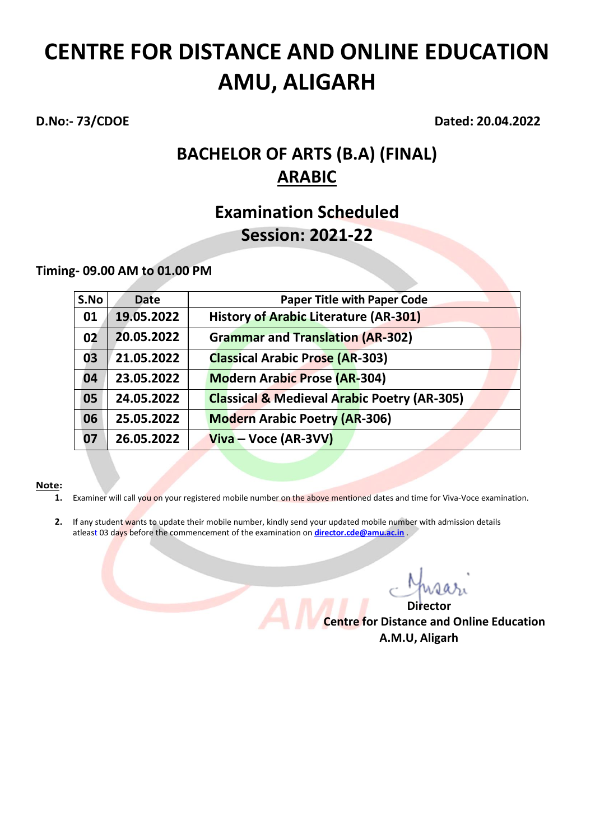**D.No:- 73/CDOE Dated: 20.04.2022**

## **BACHELOR OF ARTS (B.A) (FINAL) ARABIC**

### **Examination Scheduled Session: 2021-22**

### **Timing- 09.00 AM to 01.00 PM**

| S.No | <b>Date</b> | <b>Paper Title with Paper Code</b>                     |
|------|-------------|--------------------------------------------------------|
| 01   | 19.05.2022  | <b>History of Arabic Literature (AR-301)</b>           |
| 02   | 20.05.2022  | <b>Grammar and Translation (AR-302)</b>                |
| 03   | 21.05.2022  | <b>Classical Arabic Prose (AR-303)</b>                 |
| 04   | 23.05.2022  | <b>Modern Arabic Prose (AR-304)</b>                    |
| 05   | 24.05.2022  | <b>Classical &amp; Medieval Arabic Poetry (AR-305)</b> |
| 06   | 25.05.2022  | <b>Modern Arabic Poetry (AR-306)</b>                   |
| 07   | 26.05.2022  | $Viva - Voice (AR-3VV)$                                |

- **1.** Examiner will call you on your registered mobile number on the above mentioned dates and time for Viva-Voce examination.
- **2.** If any student wants to update their mobile number, kindly send your updated mobile number with admission details atleast 03 days before the commencement of the examination on **[director.cde@amu.ac.in](mailto:director.cde@amu.ac.in)** .

*Director* **Director Centre for Distance and Online Education A.M.U, Aligarh**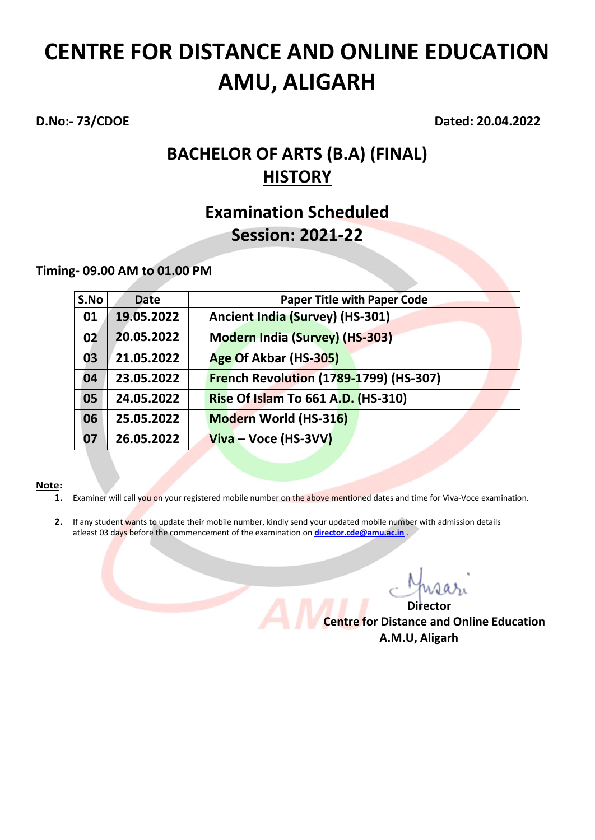**D.No:- 73/CDOE Dated: 20.04.2022**

## **BACHELOR OF ARTS (B.A) (FINAL) HISTORY**

### **Examination Scheduled Session: 2021-22**

### **Timing- 09.00 AM to 01.00 PM**

| S.No | <b>Date</b> | <b>Paper Title with Paper Code</b>     |
|------|-------------|----------------------------------------|
| 01   | 19.05.2022  | Ancient India (Survey) (HS-301)        |
| 02   | 20.05.2022  | <b>Modern India (Survey) (HS-303)</b>  |
| 03   | 21.05.2022  | Age Of Akbar (HS-305)                  |
| 04   | 23.05.2022  | French Revolution (1789-1799) (HS-307) |
| 05   | 24.05.2022  | Rise Of Islam To 661 A.D. (HS-310)     |
| 06   | 25.05.2022  | Modern World (HS-316)                  |
| 07   | 26.05.2022  | $Viva - Voice (HS-3VV)$                |

- **1.** Examiner will call you on your registered mobile number on the above mentioned dates and time for Viva-Voce examination.
- **2.** If any student wants to update their mobile number, kindly send your updated mobile number with admission details atleast 03 days before the commencement of the examination on **[director.cde@amu.ac.in](mailto:director.cde@amu.ac.in)** .

*Director* **Director Centre for Distance and Online Education A.M.U, Aligarh**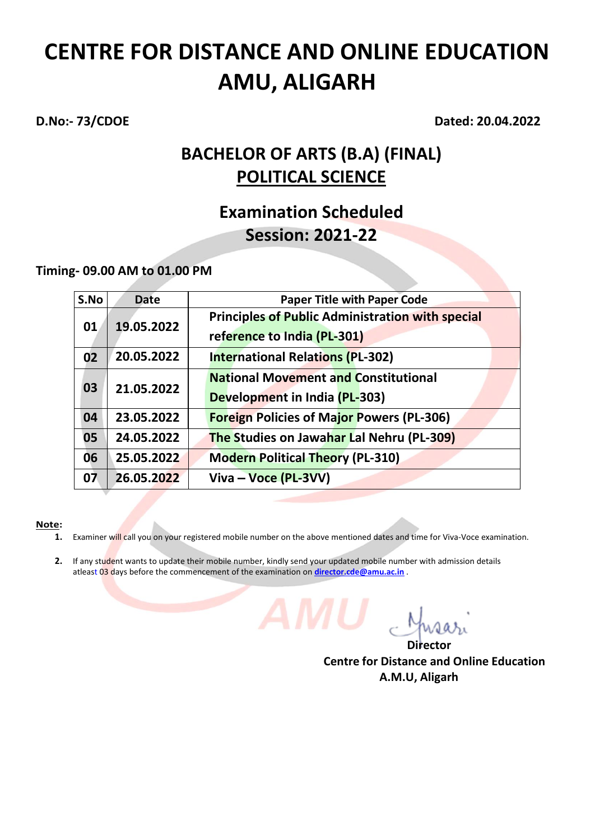**D.No:- 73/CDOE Dated: 20.04.2022**

## **BACHELOR OF ARTS (B.A) (FINAL) POLITICAL SCIENCE**

### **Examination Scheduled Session: 2021-22**

### **Timing- 09.00 AM to 01.00 PM**

| S.No | <b>Date</b> | <b>Paper Title with Paper Code</b>                                                     |
|------|-------------|----------------------------------------------------------------------------------------|
| 01   | 19.05.2022  | <b>Principles of Public Administration with special</b><br>reference to India (PL-301) |
| 02   | 20.05.2022  | <b>International Relations (PL-302)</b>                                                |
| 03   | 21.05.2022  | <b>National Movement and Constitutional</b><br>Development in India (PL-303)           |
| 04   | 23.05.2022  | <b>Foreign Policies of Major Powers (PL-306)</b>                                       |
| 05   | 24.05.2022  | <b>The Studies on Jawahar Lal Nehru (PL-309)</b>                                       |
| 06   | 25.05.2022  | <b>Modern Political Theory (PL-310)</b>                                                |
| 07   | 26.05.2022  | Viva – Voce (PL-3VV)                                                                   |

- **1.** Examiner will call you on your registered mobile number on the above mentioned dates and time for Viva-Voce examination.
- 2. If any student wants to update their mobile number, kindly send your updated mobile number with admission details atleast 03 days before the commencement of the examination on **[director.cde@amu.ac.in](mailto:director.cde@amu.ac.in)** .

المستخدم المستخدم المستخدم المستخدم المستخدم المستخدم المستخدم المستخدم المستخدم المستخدم المستخدم المستخدم ال **Centre for Distance and Online Education A.M.U, Aligarh**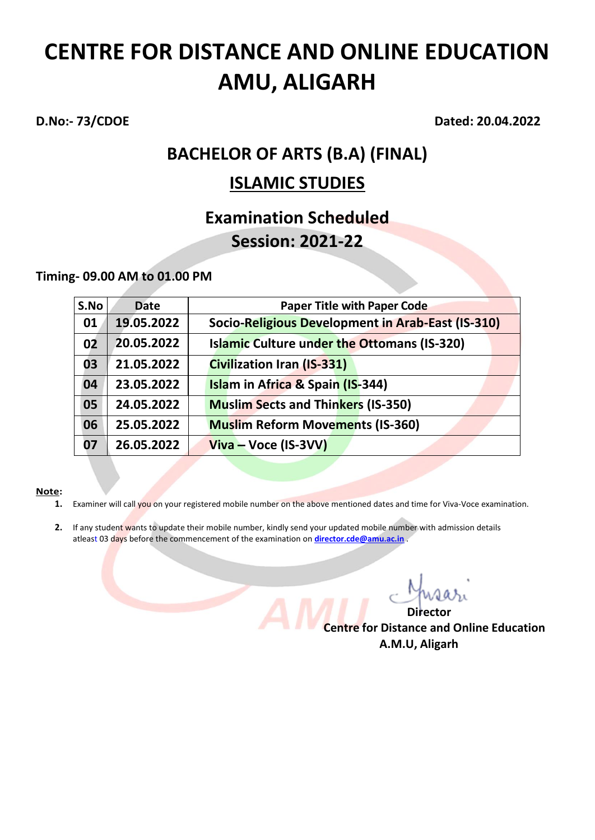**D.No:- 73/CDOE Dated: 20.04.2022**

## **BACHELOR OF ARTS (B.A) (FINAL)**

### **ISLAMIC STUDIES**

### **Examination Scheduled Session: 2021-22**

**Timing- 09.00 AM to 01.00 PM**

| S.No | <b>Date</b> | <b>Paper Title with Paper Code</b>                 |
|------|-------------|----------------------------------------------------|
| 01   | 19.05.2022  | Socio-Religious Development in Arab-East (IS-310)  |
| 02   | 20.05.2022  | <b>Islamic Culture under the Ottomans (IS-320)</b> |
| 03   | 21.05.2022  | <b>Civilization Iran (IS-331)</b>                  |
| 04   | 23.05.2022  | Islam in Africa & Spain (IS-344)                   |
| 05   | 24.05.2022  | <b>Muslim Sects and Thinkers (IS-350)</b>          |
| 06   | 25.05.2022  | <b>Muslim Reform Movements (IS-360)</b>            |
| 07   | 26.05.2022  | Viva – Voce (IS-3VV)                               |

- **1.** Examiner will call you on your registered mobile number on the above mentioned dates and time for Viva-Voce examination.
- **2.** If any student wants to update their mobile number, kindly send your updated mobile number with admission details atleast 03 days before the commencement of the examination on **[director.cde@amu.ac.in](mailto:director.cde@amu.ac.in)** .

 *Director* **Director Centre for Distance and Online Education A.M.U, Aligarh**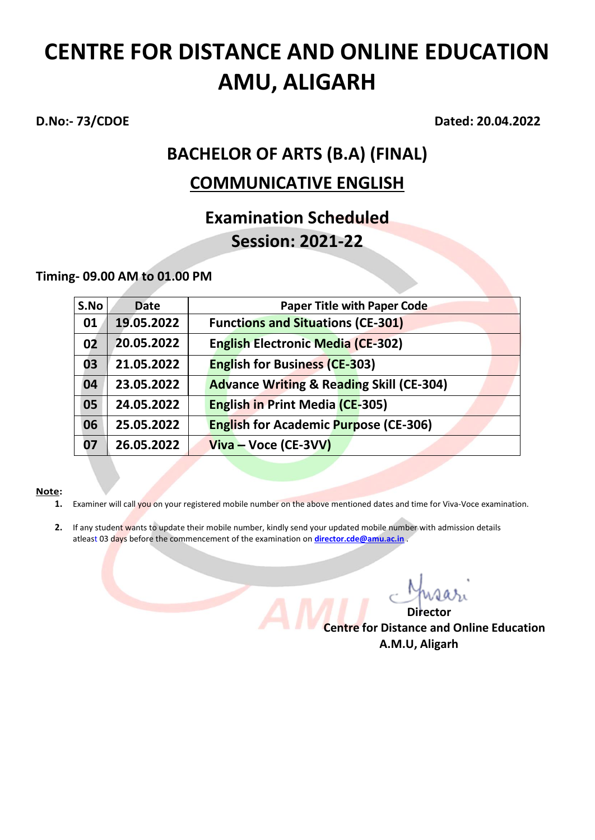**D.No:- 73/CDOE Dated: 20.04.2022**

# **BACHELOR OF ARTS (B.A) (FINAL)**

### **COMMUNICATIVE ENGLISH**

## **Examination Scheduled Session: 2021-22**

**Timing- 09.00 AM to 01.00 PM**

| S.No | <b>Date</b> | <b>Paper Title with Paper Code</b>                  |
|------|-------------|-----------------------------------------------------|
| 01   | 19.05.2022  | <b>Functions and Situations (CE-301)</b>            |
| 02   | 20.05.2022  | <b>English Electronic Media (CE-302)</b>            |
| 03   | 21.05.2022  | <b>English for Business (CE-303)</b>                |
| 04   | 23.05.2022  | <b>Advance Writing &amp; Reading Skill (CE-304)</b> |
| 05   | 24.05.2022  | <b>English in Print Media (CE-305)</b>              |
| 06   | 25.05.2022  | <b>English for Academic Purpose (CE-306)</b>        |
| 07   | 26.05.2022  | $Viva - Voice (CE-3VV)$                             |

- **1.** Examiner will call you on your registered mobile number on the above mentioned dates and time for Viva-Voce examination.
- **2.** If any student wants to update their mobile number, kindly send your updated mobile number with admission details atleast 03 days before the commencement of the examination on **[director.cde@amu.ac.in](mailto:director.cde@amu.ac.in)** .

 *Director* **Director Centre for Distance and Online Education A.M.U, Aligarh**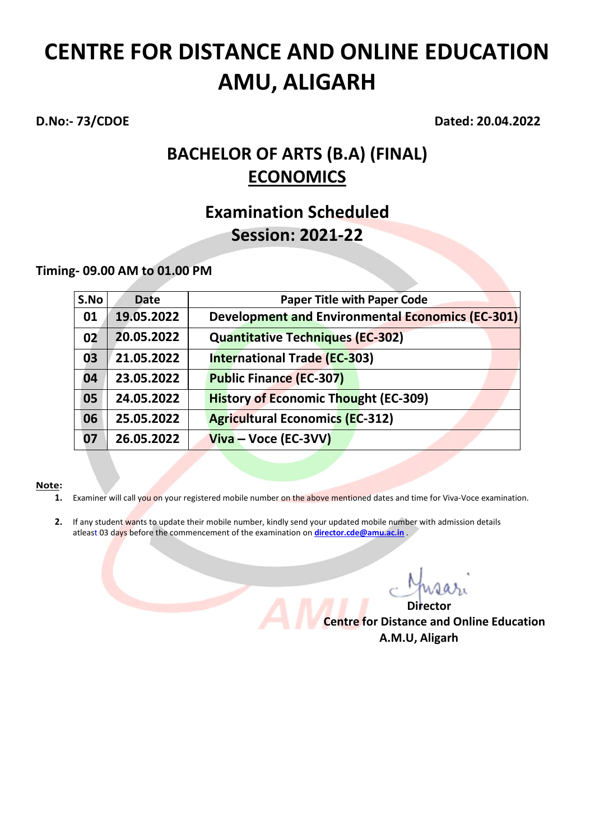**D.No:- 73/CDOE Dated: 20.04.2022**

## **BACHELOR OF ARTS (B.A) (FINAL) ECONOMICS**

### **Examination Scheduled Session: 2021-22**

### **Timing- 09.00 AM to 01.00 PM**

| S.No | <b>Date</b> | <b>Paper Title with Paper Code</b>               |
|------|-------------|--------------------------------------------------|
| 01   | 19.05.2022  | Development and Environmental Economics (EC-301) |
| 02   | 20.05.2022  | <b>Quantitative Techniques (EC-302)</b>          |
| 03   | 21.05.2022  | <b>International Trade (EC-303)</b>              |
| 04   | 23.05.2022  | <b>Public Finance (EC-307)</b>                   |
| 05   | 24.05.2022  | <b>History of Economic Thought (EC-309)</b>      |
| 06   | 25.05.2022  | <b>Agricultural Economics (EC-312)</b>           |
| 07   | 26.05.2022  | $Viva - Voice (EC-3VV)$                          |

- **1.** Examiner will call you on your registered mobile number on the above mentioned dates and time for Viva-Voce examination.
- **2.** If any student wants to update their mobile number, kindly send your updated mobile number with admission details atleast 03 days before the commencement of the examination on **[director.cde@amu.ac.in](mailto:director.cde@amu.ac.in)** .

*Director* **Director Centre for Distance and Online Education A.M.U, Aligarh**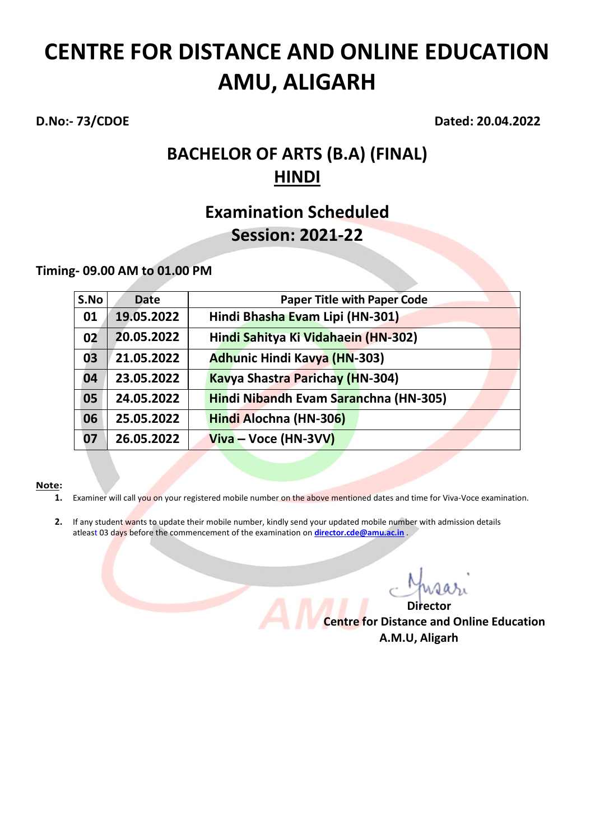**D.No:- 73/CDOE Dated: 20.04.2022**

## **BACHELOR OF ARTS (B.A) (FINAL) HINDI**

### **Examination Scheduled Session: 2021-22**

**Timing- 09.00 AM to 01.00 PM**

| S.No | <b>Date</b> | <b>Paper Title with Paper Code</b>     |
|------|-------------|----------------------------------------|
| 01   | 19.05.2022  | Hindi Bhasha Evam Lipi (HN-301)        |
| 02   | 20.05.2022  | Hindi Sahitya Ki Vidahaein (HN-302)    |
| 03   | 21.05.2022  | <b>Adhunic Hindi Kavya (HN-303)</b>    |
| 04   | 23.05.2022  | <b>Kavya Shastra Parichay (HN-304)</b> |
| 05   | 24.05.2022  | Hindi Nibandh Evam Saranchna (HN-305)  |
| 06   | 25.05.2022  | Hindi Alochna (HN-306)                 |
| 07   | 26.05.2022  | $Viva - Voce (HN-3VV)$                 |

- **1.** Examiner will call you on your registered mobile number on the above mentioned dates and time for Viva-Voce examination.
- **2.** If any student wants to update their mobile number, kindly send your updated mobile number with admission details atleast 03 days before the commencement of the examination on **[director.cde@amu.ac.in](mailto:director.cde@amu.ac.in)** .

*Director* **Director Centre for Distance and Online Education A.M.U, Aligarh**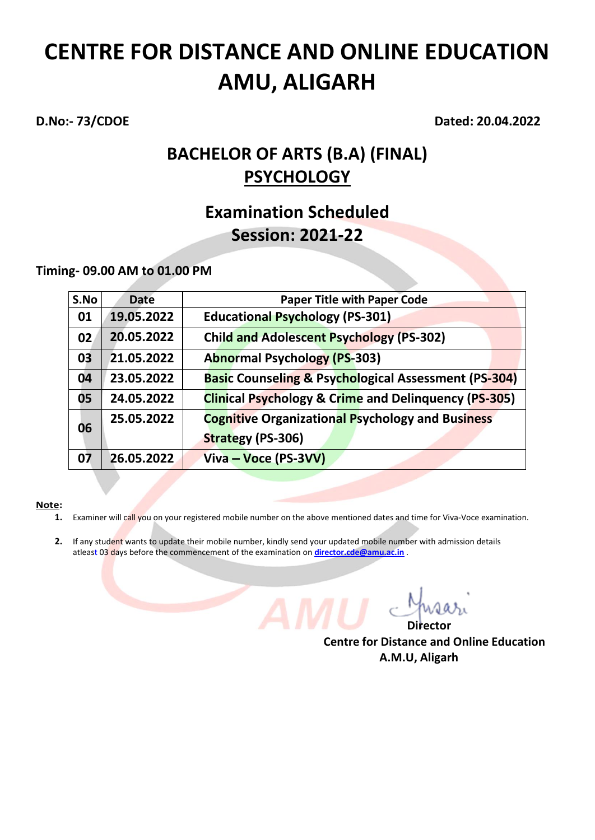**D.No:- 73/CDOE Dated: 20.04.2022**

## **BACHELOR OF ARTS (B.A) (FINAL) PSYCHOLOGY**

### **Examination Scheduled Session: 2021-22**

**Timing- 09.00 AM to 01.00 PM**

| S.No | <b>Date</b> | <b>Paper Title with Paper Code</b>                              |
|------|-------------|-----------------------------------------------------------------|
| 01   | 19.05.2022  | <b>Educational Psychology (PS-301)</b>                          |
| 02   | 20.05.2022  | <b>Child and Adolescent Psychology (PS-302)</b>                 |
| 03   | 21.05.2022  | <b>Abnormal Psychology (PS-303)</b>                             |
| 04   | 23.05.2022  | <b>Basic Counseling &amp; Psychological Assessment (PS-304)</b> |
| 05   | 24.05.2022  | <b>Clinical Psychology &amp; Crime and Delinquency (PS-305)</b> |
| 06   | 25.05.2022  | <b>Cognitive Organizational Psychology and Business</b>         |
|      |             | <b>Strategy (PS-306)</b>                                        |
| 07   | 26.05.2022  | Viva – Voce (PS-3VV)                                            |

### **Note:**

- **1.** Examiner will call you on your registered mobile number on the above mentioned dates and time for Viva-Voce examination.
- **2.** If any student wants to update their mobile number, kindly send your updated mobile number with admission details atleast 03 days before the commencement of the examination on *[director.cde@amu.ac.in](mailto:director.cde@amu.ac.in)*.

*Director* **Director** 

**Centre for Distance and Online Education A.M.U, Aligarh**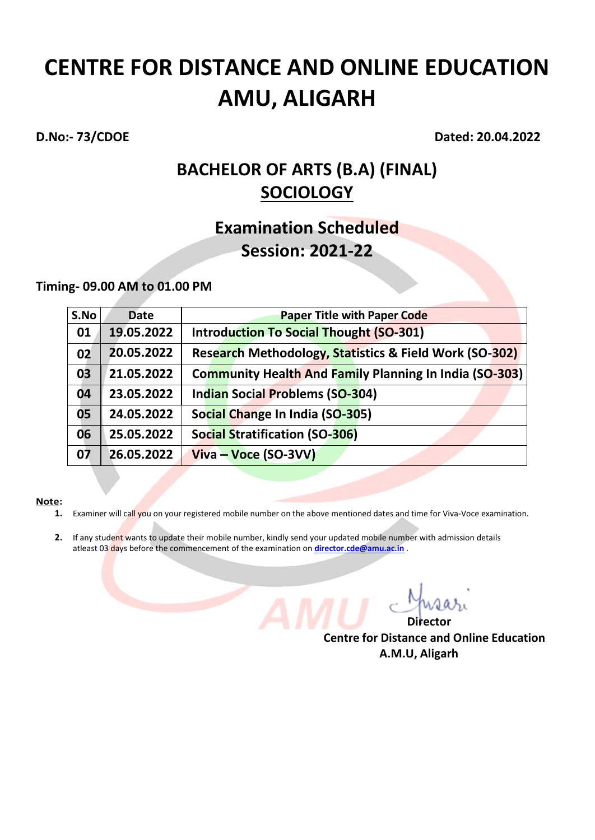**D.No:- 73/CDOE Dated: 20.04.2022**

### **BACHELOR OF ARTS (B.A) (FINAL) SOCIOLOGY**

## **Examination Scheduled Session: 2021-22**

### **Timing- 09.00 AM to 01.00 PM**

| S.No | <b>Date</b> | <b>Paper Title with Paper Code</b>                     |
|------|-------------|--------------------------------------------------------|
| 01   | 19.05.2022  | <b>Introduction To Social Thought (SO-301)</b>         |
| 02   | 20.05.2022  | Research Methodology, Statistics & Field Work (SO-302) |
| 03   | 21.05.2022  | Community Health And Family Planning In India (SO-303) |
| 04   | 23.05.2022  | <b>Indian Social Problems (SO-304)</b>                 |
| 05   | 24.05.2022  | Social Change In India (SO-305)                        |
| 06   | 25.05.2022  | <b>Social Stratification (SO-306)</b>                  |
| 07   | 26.05.2022  | Viva – Voce (SO-3VV)                                   |

### **Note:**

- **1.** Examiner will call you on your registered mobile number on the above mentioned dates and time for Viva-Voce examination.
- **2.** If any student wants to update their mobile number, kindly send your updated mobile number with admission details atleast 03 days before the commencement of the examination on **[director.cde@amu.ac.in](mailto:director.cde@amu.ac.in)** .

 *Director* **Director Centre for Distance and Online Education A.M.U, Aligarh**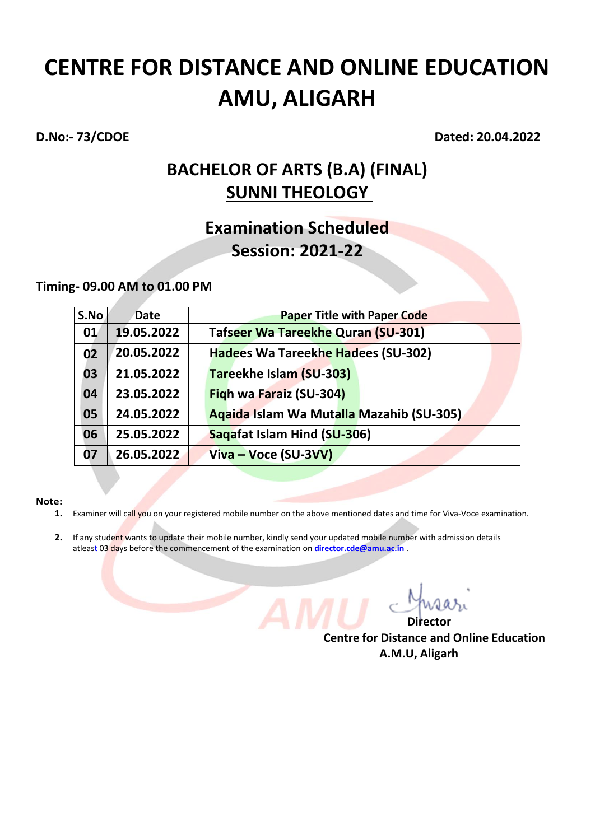**D.No:- 73/CDOE Dated: 20.04.2022**

### **BACHELOR OF ARTS (B.A) (FINAL) SUNNI THEOLOGY**

## **Examination Scheduled Session: 2021-22**

### **Timing- 09.00 AM to 01.00 PM**

| S.No | <b>Date</b> | <b>Paper Title with Paper Code</b>        |
|------|-------------|-------------------------------------------|
| 01   | 19.05.2022  | <b>Tafseer Wa Tareekhe Quran (SU-301)</b> |
| 02   | 20.05.2022  | Hadees Wa Tareekhe Hadees (SU-302)        |
| 03   | 21.05.2022  | Tareekhe Islam (SU-303)                   |
| 04   | 23.05.2022  | Figh wa Faraiz (SU-304)                   |
| 05   | 24.05.2022  | Agaida Islam Wa Mutalla Mazahib (SU-305)  |
| 06   | 25.05.2022  | Saqafat Islam Hind (SU-306)               |
| 07   | 26.05.2022  | Viva – Voce (SU-3VV)                      |

### **Note:**

- **1.** Examiner will call you on your registered mobile number on the above mentioned dates and time for Viva-Voce examination.
- **2.** If any student wants to update their mobile number, kindly send your updated mobile number with admission details atleast 03 days before the commencement of the examination on **[director.cde@amu.ac.in](mailto:director.cde@amu.ac.in)** .

 *Director* **Director Centre for Distance and Online Education A.M.U, Aligarh**